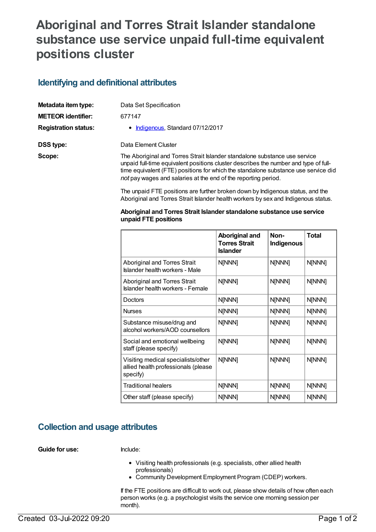# **Aboriginal and Torres Strait Islander standalone substance use service unpaid full-time equivalent positions cluster**

### **Identifying and definitional attributes**

| Metadata item type:         | Data Set Specification                                                                                                                                                                                                                                                                                                     |
|-----------------------------|----------------------------------------------------------------------------------------------------------------------------------------------------------------------------------------------------------------------------------------------------------------------------------------------------------------------------|
| <b>METEOR identifier:</b>   | 677147                                                                                                                                                                                                                                                                                                                     |
| <b>Registration status:</b> | • Indigenous, Standard 07/12/2017                                                                                                                                                                                                                                                                                          |
| DSS type:                   | Data Element Cluster                                                                                                                                                                                                                                                                                                       |
| Scope:                      | The Aboriginal and Torres Strait Islander standalone substance use service<br>unpaid full-time equivalent positions cluster describes the number and type of full-<br>time equivalent (FTE) positions for which the standalone substance use service did<br>not pay wages and salaries at the end of the reporting period. |

The unpaid FTE positions are further broken down by Indigenous status, and the Aboriginal and Torres Strait Islander health workers by sex and Indigenous status.

#### **Aboriginal and Torres Strait Islander standalone substance use service unpaid FTE positions**

|                                                                                       | Aboriginal and<br><b>Torres Strait</b><br><b>Islander</b> | Non-<br>Indigenous | <b>Total</b> |
|---------------------------------------------------------------------------------------|-----------------------------------------------------------|--------------------|--------------|
| Aboriginal and Torres Strait<br>Islander health workers - Male                        | N[NNN]                                                    | N[NNN]             | N[NNN]       |
| Aboriginal and Torres Strait<br>Islander health workers - Female                      | N[NNN]                                                    | N[NNN]             | N[NNN]       |
| Doctors                                                                               | N[NNN]                                                    | N[NNN]             | N[NNN]       |
| <b>Nurses</b>                                                                         | N[NNN]                                                    | N[NNN]             | N[NNN]       |
| Substance misuse/drug and<br>alcohol workers/AOD counsellors                          | N[NNN]                                                    | N[NNN]             | N[NNN]       |
| Social and emotional wellbeing<br>staff (please specify)                              | N[NNN]                                                    | N[NNN]             | N[NNN]       |
| Visiting medical specialists/other<br>allied health professionals (please<br>specify) | N[NNN]                                                    | N[NNN]             | N[NNN]       |
| <b>Traditional healers</b>                                                            | N[NNN]                                                    | N[NNN]             | N[NNN]       |
| Other staff (please specify)                                                          | N[NNN]                                                    | N[NNN]             | N[NNN]       |

### **Collection and usage attributes**

**Guide for use:** Include:

- Visiting health professionals (e.g. specialists, other allied health professionals)
- Community Development Employment Program (CDEP) workers.

If the FTE positions are difficult to work out, please show details of how often each person works (e.g. a psychologist visits the service one morning session per month).